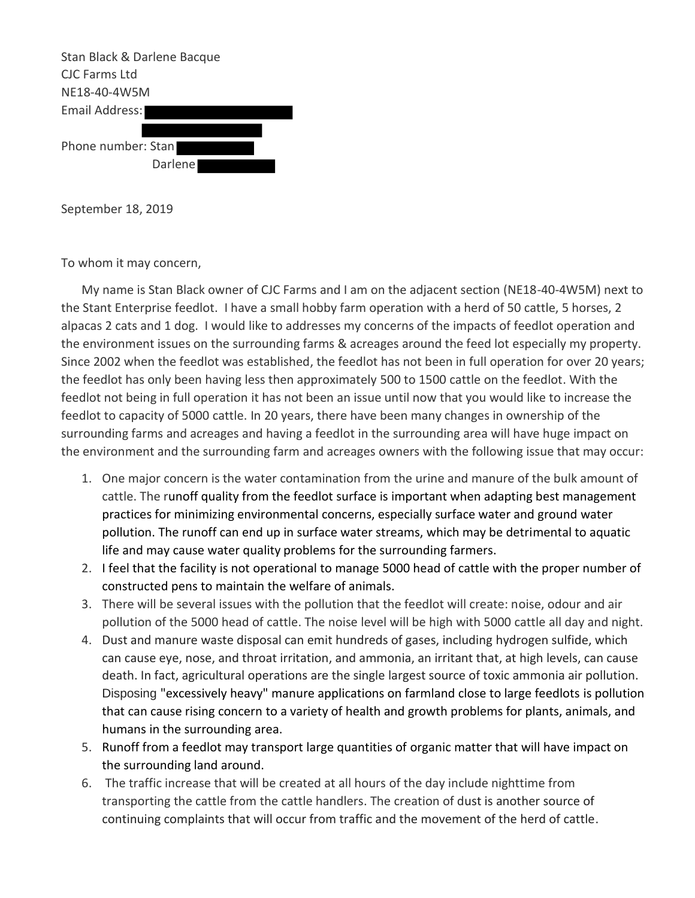

September 18, 2019

To whom it may concern,

My name is Stan Black owner of CJC Farms and I am on the adjacent section (NE18-40-4W5M) next to the Stant Enterprise feedlot. I have a small hobby farm operation with a herd of 50 cattle, 5 horses, 2 alpacas 2 cats and 1 dog. I would like to addresses my concerns of the impacts of feedlot operation and the environment issues on the surrounding farms & acreages around the feed lot especially my property. Since 2002 when the feedlot was established, the feedlot has not been in full operation for over 20 years; the feedlot has only been having less then approximately 500 to 1500 cattle on the feedlot. With the feedlot not being in full operation it has not been an issue until now that you would like to increase the feedlot to capacity of 5000 cattle. In 20 years, there have been many changes in ownership of the surrounding farms and acreages and having a feedlot in the surrounding area will have huge impact on the environment and the surrounding farm and acreages owners with the following issue that may occur:

- 1. One major concern is the water contamination from the urine and manure of the bulk amount of cattle. The runoff quality from the feedlot surface is important when adapting best management practices for minimizing environmental concerns, especially surface water and ground water pollution. The runoff can end up in surface water streams, which may be detrimental to aquatic life and may cause water quality problems for the surrounding farmers.
- 2. I feel that the facility is not operational to manage 5000 head of cattle with the proper number of constructed pens to maintain the welfare of animals.
- 3. There will be several issues with the pollution that the feedlot will create: noise, odour and air pollution of the 5000 head of cattle. The noise level will be high with 5000 cattle all day and night.
- 4. Dust and manure waste disposal can emit hundreds of gases, including hydrogen sulfide, which can cause eye, nose, and throat irritation, and ammonia, an irritant that, at high levels, can cause death. In fact, agricultural operations are the single largest source of toxic ammonia air pollution. Disposing "excessively heavy" manure applications on farmland close to large feedlots is pollution that can cause rising concern to a variety of health and growth problems for plants, animals, and humans in the surrounding area.
- 5. Runoff from a feedlot may transport large quantities of organic matter that will have impact on the surrounding land around.
- 6. The traffic increase that will be created at all hours of the day include nighttime from transporting the cattle from the cattle handlers. The creation of dust is another source of continuing complaints that will occur from traffic and the movement of the herd of cattle.